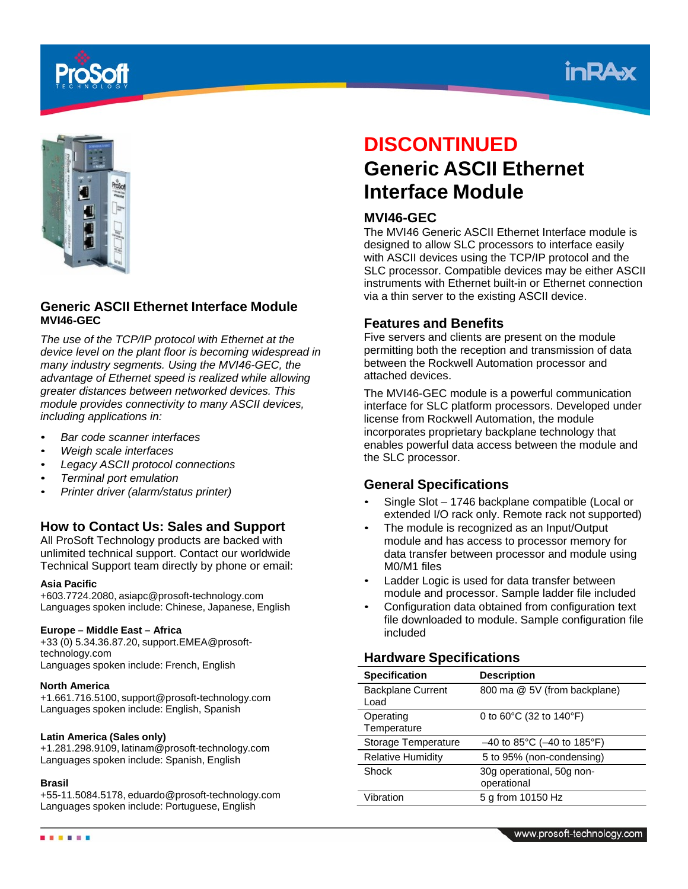





## **Generic ASCII Ethernet Interface Module MVI46-GEC**

*The use of the TCP/IP protocol with Ethernet at the device level on the plant floor is becoming widespread in many industry segments. Using the MVI46-GEC, the advantage of Ethernet speed is realized while allowing greater distances between networked devices. This module provides connectivity to many ASCII devices, including applications in:*

- *Bar code scanner interfaces*
- *Weigh scale interfaces*
- *Legacy ASCII protocol connections*
- *Terminal port emulation*
- *Printer driver (alarm/status printer)*

# **How to Contact Us: Sales and Support**

All ProSoft Technology products are backed with unlimited technical support. Contact our worldwide Technical Support team directly by phone or email:

## **Asia Pacific**

+603.7724.2080, asiapc@prosoft-technology.com Languages spoken include: Chinese, Japanese, English

## **Europe – Middle East – Africa**

+33 (0) 5.34.36.87.20, support.EMEA@prosofttechnology.com Languages spoken include: French, English

## **North America**

+1.661.716.5100, support@prosoft-technology.com Languages spoken include: English, Spanish

## **Latin America (Sales only)**

+1.281.298.9109, latinam@prosoft-technology.com Languages spoken include: Spanish, English

## **Brasil**

. . . . . .

+55-11.5084.5178, eduardo@prosoft-technology.com Languages spoken include: Portuguese, English

# **DISCONTINUED Generic ASCII Ethernet Interface Module**

# **MVI46-GEC**

The MVI46 Generic ASCII Ethernet Interface module is designed to allow SLC processors to interface easily with ASCII devices using the TCP/IP protocol and the SLC processor. Compatible devices may be either ASCII instruments with Ethernet built-in or Ethernet connection via a thin server to the existing ASCII device.

## **Features and Benefits**

Five servers and clients are present on the module permitting both the reception and transmission of data between the Rockwell Automation processor and attached devices.

The MVI46-GEC module is a powerful communication interface for SLC platform processors. Developed under license from Rockwell Automation, the module incorporates proprietary backplane technology that enables powerful data access between the module and the SLC processor.

## **General Specifications**

- Single Slot 1746 backplane compatible (Local or extended I/O rack only. Remote rack not supported)
- The module is recognized as an Input/Output module and has access to processor memory for data transfer between processor and module using M0/M1 files
- Ladder Logic is used for data transfer between module and processor. Sample ladder file included
- Configuration data obtained from configuration text file downloaded to module. Sample configuration file included

# **Hardware Specifications**

| <b>Specification</b>             | <b>Description</b>                           |
|----------------------------------|----------------------------------------------|
| <b>Backplane Current</b><br>Load | 800 ma @ 5V (from backplane)                 |
| Operating<br>Temperature         | 0 to $60^{\circ}$ C (32 to 140 $^{\circ}$ F) |
| Storage Temperature              | $-40$ to 85°C (-40 to 185°F)                 |
| <b>Relative Humidity</b>         | 5 to 95% (non-condensing)                    |
| Shock                            | 30g operational, 50g non-<br>operational     |
| Vibration                        | 5 g from 10150 Hz                            |